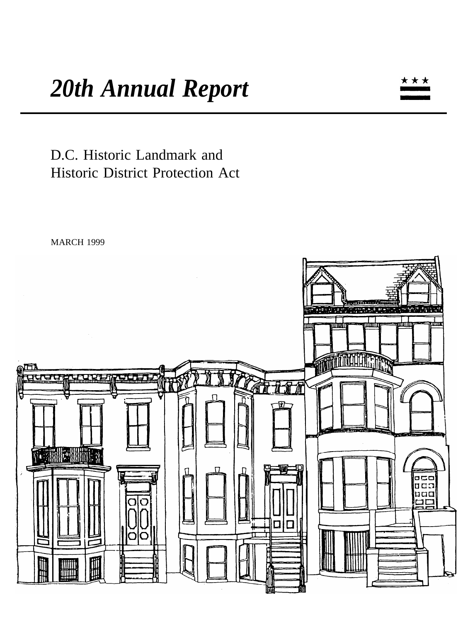D.C. Historic Landmark and Historic District Protection Act

MARCH 1999



★★★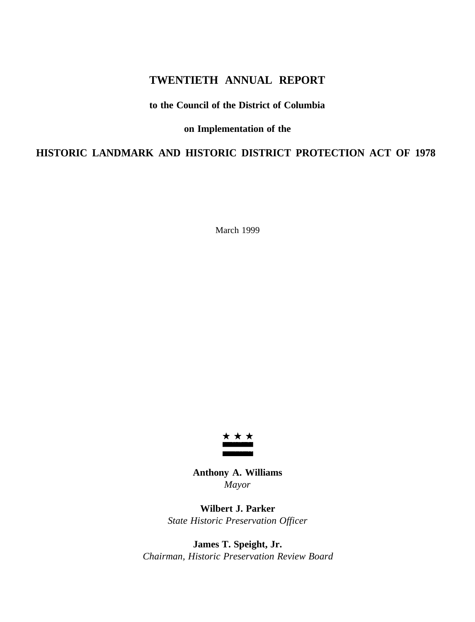# **TWENTIETH ANNUAL REPORT**

# **to the Council of the District of Columbia**

# **on Implementation of the**

# **HISTORIC LANDMARK AND HISTORIC DISTRICT PROTECTION ACT OF 1978**

March 1999



**Anthony A. Williams** *Mayor*

**Wilbert J. Parker** *State Historic Preservation Officer*

**James T. Speight, Jr.** *Chairman, Historic Preservation Review Board*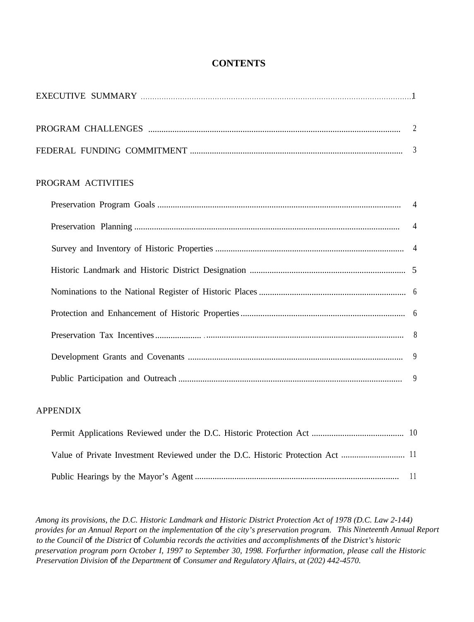# **CONTENTS**

| PROGRAM ACTIVITIES |   |
|--------------------|---|
|                    |   |
|                    |   |
|                    |   |
|                    |   |
|                    |   |
|                    |   |
|                    |   |
|                    |   |
|                    | 9 |

# APPENDIX

| Value of Private Investment Reviewed under the D.C. Historic Protection Act  11 |  |
|---------------------------------------------------------------------------------|--|
|                                                                                 |  |

*Among its provisions, the D.C. Historic Landmark and Historic District Protection Act of 1978 (D.C. Law 2-144) provides for an Annual Report on the implementation of the city's preservation program. This Nineteenth Annual Report to the Council of the District of Columbia records the activities and accomplishments of the District's historic preservation program porn October I, 1997 to September 30, 1998. Forfurther information, please call the Historic Preservation Division of the Department of Consumer and Regulatory Aflairs, at (202) 442-4570.*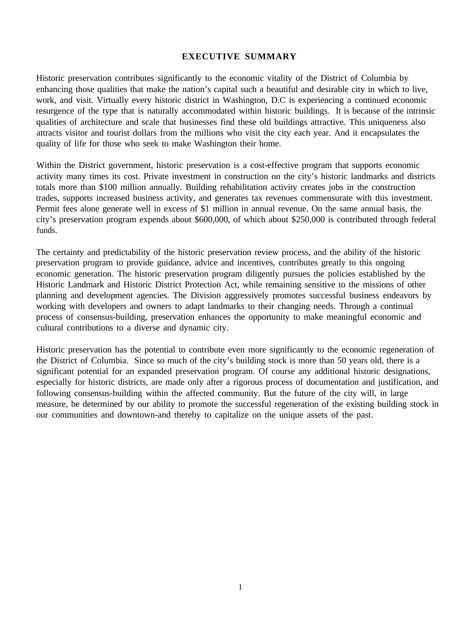## **EXECUTIVE SUMMARY**

Historic preservation contributes significantly to the economic vitality of the District of Columbia by enhancing those qualities that make the nation's capital such a beautiful and desirable city in which to live, work, and visit. Virtually every historic district in Washington, D.C is experiencing a continued economic resurgence of the type that is naturally accommodated within historic buildings. It is because of the intrinsic qualities of architecture and scale that businesses find these old buildings attractive. This uniqueness also attracts visitor and tourist dollars from the millions who visit the city each year. And it encapsulates the quality of life for those who seek to make Washington their home.

Within the District government, historic preservation is a cost-effective program that supports economic activity many times its cost. Private investment in construction on the city's historic landmarks and districts totals more than \$100 million annually. Building rehabilitation activity creates jobs in the construction trades, supports increased business activity, and generates tax revenues commensurate with this investment. Permit fees alone generate well in excess of \$1 million in annual revenue. On the same annual basis, the city's preservation program expends about \$600,000, of which about \$250,000 is contributed through federal funds.

The certainty and predictability of the historic preservation review process, and the ability of the historic preservation program to provide guidance, advice and incentives, contributes greatly to this ongoing economic generation. The historic preservation program diligently pursues the policies established by the Historic Landmark and Historic District Protection Act, while remaining sensitive to the missions of other planning and development agencies. The Division aggressively promotes successful business endeavors by working with developers and owners to adapt landmarks to their changing needs. Through a continual process of consensus-building, preservation enhances the opportunity to make meaningful economic and cultural contributions to a diverse and dynamic city.

Historic preservation has the potential to contribute even more significantly to the economic regeneration of the District of Columbia. Since so much of the city's building stock is more than 50 years old, there is a significant potential for an expanded preservation program. Of course any additional historic designations, especially for historic districts, are made only after a rigorous process of documentation and justification, and following consensus-building within the affected community. But the future of the city will, in large measure, be determined by our ability to promote the successful regeneration of the existing building stock in our communities and downtown-and thereby to capitalize on the unique assets of the past.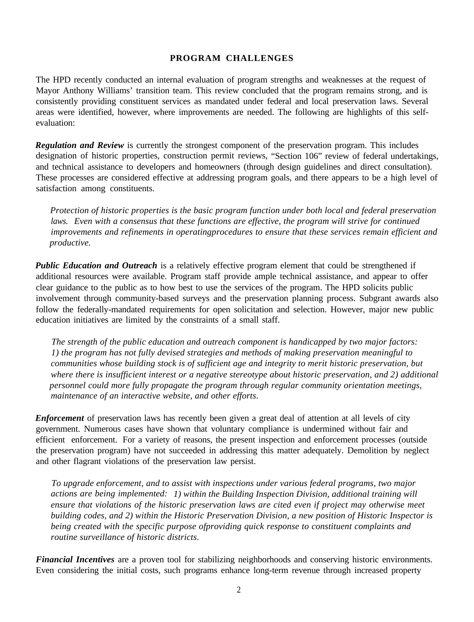# **PROGRAM CHALLENGES**

The HPD recently conducted an internal evaluation of program strengths and weaknesses at the request of Mayor Anthony Williams' transition team. This review concluded that the program remains strong, and is consistently providing constituent services as mandated under federal and local preservation laws. Several areas were identified, however, where improvements are needed. The following are highlights of this selfevaluation:

*Regulation and Review* is currently the strongest component of the preservation program. This includes designation of historic properties, construction permit reviews, "Section 106" review of federal undertakings, and technical assistance to developers and homeowners (through design guidelines and direct consultation). These processes are considered effective at addressing program goals, and there appears to be a high level of satisfaction among constituents.

*Protection of historic properties is the basic program function under both local and federal preservation laws. Even with a consensus that these functions are effective, the program will strive for continued improvements and refinements in operatingprocedures to ensure that these services remain efficient and productive.*

**Public Education and Outreach** is a relatively effective program element that could be strengthened if additional resources were available. Program staff provide ample technical assistance, and appear to offer clear guidance to the public as to how best to use the services of the program. The HPD solicits public involvement through community-based surveys and the preservation planning process. Subgrant awards also follow the federally-mandated requirements for open solicitation and selection. However, major new public education initiatives are limited by the constraints of a small staff.

*The strength of the public education and outreach component is handicapped by two major factors: 1) the program has not fully devised strategies and methods of making preservation meaningful to communities whose building stock is of sufficient age and integrity to merit historic preservation, but where there is insufficient interest or a negative stereotype about historic preservation, and 2) additional personnel could more fully propagate the program through regular community orientation meetings, maintenance of an interactive website, and other efforts.*

*Enforcement* of preservation laws has recently been given a great deal of attention at all levels of city government. Numerous cases have shown that voluntary compliance is undermined without fair and efficient enforcement. For a variety of reasons, the present inspection and enforcement processes (outside the preservation program) have not succeeded in addressing this matter adequately. Demolition by neglect and other flagrant violations of the preservation law persist.

*To upgrade enforcement, and to assist with inspections under various federal programs, two major actions are being implemented: 1) within the Building Inspection Division, additional training will ensure that violations of the historic preservation laws are cited even if project may otherwise meet building codes, and 2) within the Historic Preservation Division, a new position of Historic Inspector is being created with the specific purpose ofproviding quick response to constituent complaints and routine surveillance of historic districts.*

*Financial Incentives* are a proven tool for stabilizing neighborhoods and conserving historic environments. Even considering the initial costs, such programs enhance long-term revenue through increased property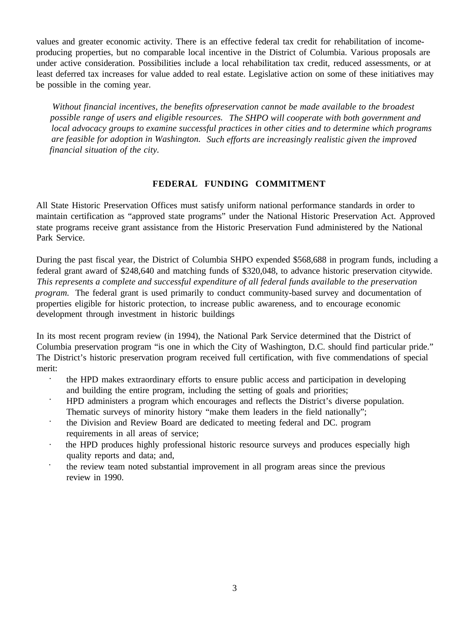values and greater economic activity. There is an effective federal tax credit for rehabilitation of incomeproducing properties, but no comparable local incentive in the District of Columbia. Various proposals are under active consideration. Possibilities include a local rehabilitation tax credit, reduced assessments, or at least deferred tax increases for value added to real estate. Legislative action on some of these initiatives may be possible in the coming year.

*Without financial incentives, the benefits ofpreservation cannot be made available to the broadest possible range of users and eligible resources. The SHPO will cooperate with both government and local advocacy groups to examine successful practices in other cities and to determine which programs are feasible for adoption in Washington. Such efforts are increasingly realistic given the improved financial situation of the city.*

# **FEDERAL FUNDING COMMITMENT**

All State Historic Preservation Offices must satisfy uniform national performance standards in order to maintain certification as "approved state programs" under the National Historic Preservation Act. Approved state programs receive grant assistance from the Historic Preservation Fund administered by the National Park Service.

During the past fiscal year, the District of Columbia SHPO expended \$568,688 in program funds, including a federal grant award of \$248,640 and matching funds of \$320,048, to advance historic preservation citywide. *This represents a complete and successful expenditure of all federal funds available to the preservation program.* The federal grant is used primarily to conduct community-based survey and documentation of properties eligible for historic protection, to increase public awareness, and to encourage economic development through investment in historic buildings

In its most recent program review (in 1994), the National Park Service determined that the District of Columbia preservation program "is one in which the City of Washington, D.C. should find particular pride." The District's historic preservation program received full certification, with five commendations of special merit:

- · the HPD makes extraordinary efforts to ensure public access and participation in developing and building the entire program, including the setting of goals and priorities;
- · HPD administers a program which encourages and reflects the District's diverse population. Thematic surveys of minority history "make them leaders in the field nationally";
- · the Division and Review Board are dedicated to meeting federal and DC. program requirements in all areas of service;
- · the HPD produces highly professional historic resource surveys and produces especially high quality reports and data; and,
- · the review team noted substantial improvement in all program areas since the previous review in 1990.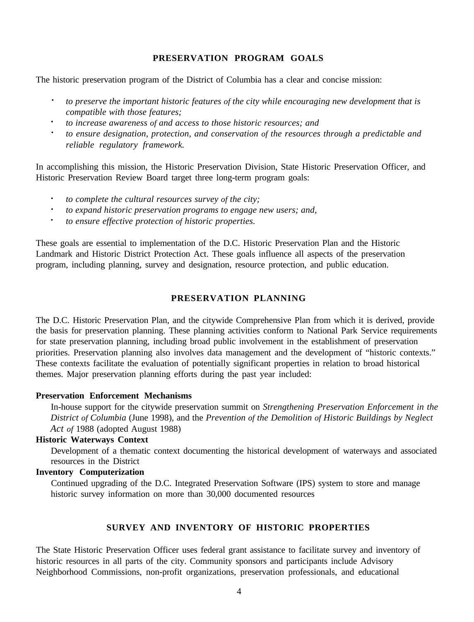## **PRESERVATION PROGRAM GOALS**

The historic preservation program of the District of Columbia has a clear and concise mission:

- **·** *to preserve the important historic features of the city while encouraging new development that is compatible with those features;*
- *· to increase awareness of and access to those historic resources; and*
- *· to ensure designation, protection, and conservation of the resources through a predictable and reliable regulatory framework.*

In accomplishing this mission, the Historic Preservation Division, State Historic Preservation Officer, and Historic Preservation Review Board target three long-term program goals:

- **·** *to complete the cultural resources survey of the city;*
- *· to expand historic preservation programs to engage new users; and,*
- *· to ensure effective protection of historic properties.*

These goals are essential to implementation of the D.C. Historic Preservation Plan and the Historic Landmark and Historic District Protection Act. These goals influence all aspects of the preservation program, including planning, survey and designation, resource protection, and public education.

# **PRESERVATION PLANNING**

The D.C. Historic Preservation Plan, and the citywide Comprehensive Plan from which it is derived, provide the basis for preservation planning. These planning activities conform to National Park Service requirements for state preservation planning, including broad public involvement in the establishment of preservation priorities. Preservation planning also involves data management and the development of "historic contexts." These contexts facilitate the evaluation of potentially significant properties in relation to broad historical themes. Major preservation planning efforts during the past year included:

#### **Preservation Enforcement Mechanisms**

In-house support for the citywide preservation summit on *Strengthening Preservation Enforcement in the District of Columbia* (June 1998), and the *Prevention of the Demolition of Historic Buildings by Neglect Act of* 1988 (adopted August 1988)

#### **Historic Waterways Context**

Development of a thematic context documenting the historical development of waterways and associated resources in the District

# **Inventory Computerization**

Continued upgrading of the D.C. Integrated Preservation Software (IPS) system to store and manage historic survey information on more than 30,000 documented resources

## **SURVEY AND INVENTORY OF HISTORIC PROPERTIES**

The State Historic Preservation Officer uses federal grant assistance to facilitate survey and inventory of historic resources in all parts of the city. Community sponsors and participants include Advisory Neighborhood Commissions, non-profit organizations, preservation professionals, and educational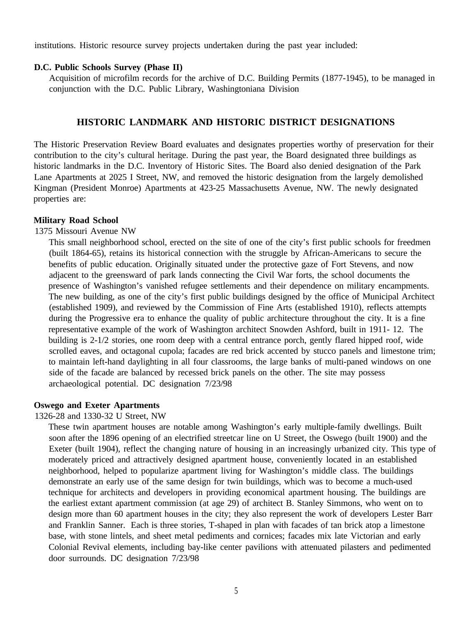institutions. Historic resource survey projects undertaken during the past year included:

#### **D.C. Public Schools Survey (Phase II)**

Acquisition of microfilm records for the archive of D.C. Building Permits (1877-1945), to be managed in conjunction with the D.C. Public Library, Washingtoniana Division

#### **HISTORIC LANDMARK AND HISTORIC DISTRICT DESIGNATIONS**

The Historic Preservation Review Board evaluates and designates properties worthy of preservation for their contribution to the city's cultural heritage. During the past year, the Board designated three buildings as historic landmarks in the D.C. Inventory of Historic Sites. The Board also denied designation of the Park Lane Apartments at 2025 I Street, NW, and removed the historic designation from the largely demolished Kingman (President Monroe) Apartments at 423-25 Massachusetts Avenue, NW. The newly designated properties are:

#### **Military Road School**

1375 Missouri Avenue NW

This small neighborhood school, erected on the site of one of the city's first public schools for freedmen (built 1864-65), retains its historical connection with the struggle by African-Americans to secure the benefits of public education. Originally situated under the protective gaze of Fort Stevens, and now adjacent to the greensward of park lands connecting the Civil War forts, the school documents the presence of Washington's vanished refugee settlements and their dependence on military encampments. The new building, as one of the city's first public buildings designed by the office of Municipal Architect (established 1909), and reviewed by the Commission of Fine Arts (established 1910), reflects attempts during the Progressive era to enhance the quality of public architecture throughout the city. It is a fine representative example of the work of Washington architect Snowden Ashford, built in 1911- 12. The building is 2-1/2 stories, one room deep with a central entrance porch, gently flared hipped roof, wide scrolled eaves, and octagonal cupola; facades are red brick accented by stucco panels and limestone trim; to maintain left-hand daylighting in all four classrooms, the large banks of multi-paned windows on one side of the facade are balanced by recessed brick panels on the other. The site may possess archaeological potential. DC designation 7/23/98

#### **Oswego and Exeter Apartments**

1326-28 and 1330-32 U Street, NW

These twin apartment houses are notable among Washington's early multiple-family dwellings. Built soon after the 1896 opening of an electrified streetcar line on U Street, the Oswego (built 1900) and the Exeter (built 1904), reflect the changing nature of housing in an increasingly urbanized city. This type of moderately priced and attractively designed apartment house, conveniently located in an established neighborhood, helped to popularize apartment living for Washington's middle class. The buildings demonstrate an early use of the same design for twin buildings, which was to become a much-used technique for architects and developers in providing economical apartment housing. The buildings are the earliest extant apartment commission (at age 29) of architect B. Stanley Simmons, who went on to design more than 60 apartment houses in the city; they also represent the work of developers Lester Barr and Franklin Sanner. Each is three stories, T-shaped in plan with facades of tan brick atop a limestone base, with stone lintels, and sheet metal pediments and cornices; facades mix late Victorian and early Colonial Revival elements, including bay-like center pavilions with attenuated pilasters and pedimented door surrounds. DC designation 7/23/98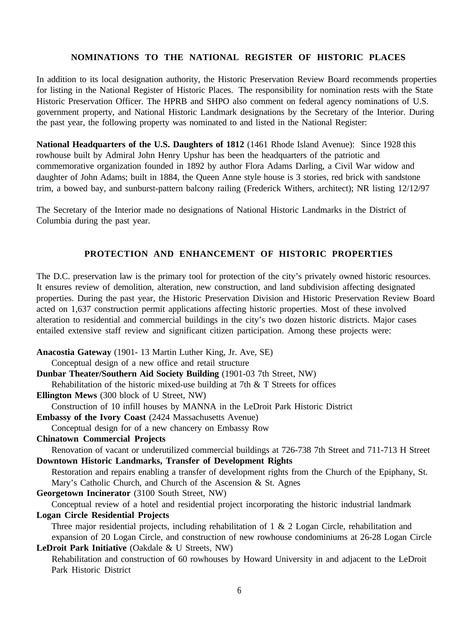# **NOMINATIONS TO THE NATIONAL REGISTER OF HISTORIC PLACES**

In addition to its local designation authority, the Historic Preservation Review Board recommends properties for listing in the National Register of Historic Places. The responsibility for nomination rests with the State Historic Preservation Officer. The HPRB and SHPO also comment on federal agency nominations of U.S. government property, and National Historic Landmark designations by the Secretary of the Interior. During the past year, the following property was nominated to and listed in the National Register:

**National Headquarters of the U.S. Daughters of 1812** (1461 Rhode Island Avenue): Since 1928 this rowhouse built by Admiral John Henry Upshur has been the headquarters of the patriotic and commemorative organization founded in 1892 by author Flora Adams Darling, a Civil War widow and daughter of John Adams; built in 1884, the Queen Anne style house is 3 stories, red brick with sandstone trim, a bowed bay, and sunburst-pattern balcony railing (Frederick Withers, architect); NR listing 12/12/97

The Secretary of the Interior made no designations of National Historic Landmarks in the District of Columbia during the past year.

## **PROTECTION AND ENHANCEMENT OF HISTORIC PROPERTIES**

The D.C. preservation law is the primary tool for protection of the city's privately owned historic resources. It ensures review of demolition, alteration, new construction, and land subdivision affecting designated properties. During the past year, the Historic Preservation Division and Historic Preservation Review Board acted on 1,637 construction permit applications affecting historic properties. Most of these involved alteration to residential and commercial buildings in the city's two dozen historic districts. Major cases entailed extensive staff review and significant citizen participation. Among these projects were:

**Anacostia Gateway** (1901- 13 Martin Luther King, Jr. Ave, SE) Conceptual design of a new office and retail structure **Dunbar Theater/Southern Aid Society Building** (1901-03 7th Street, NW) Rehabilitation of the historic mixed-use building at 7th & T Streets for offices **Ellington Mews** (300 block of U Street, NW) Construction of 10 infill houses by MANNA in the LeDroit Park Historic District **Embassy of the Ivory Coast** (2424 Massachusetts Avenue) Conceptual design for of a new chancery on Embassy Row **Chinatown Commercial Projects** Renovation of vacant or underutilized commercial buildings at 726-738 7th Street and 711-713 H Street **Downtown Historic Landmarks, Transfer of Development Rights** Restoration and repairs enabling a transfer of development rights from the Church of the Epiphany, St. Mary's Catholic Church, and Church of the Ascension & St. Agnes **Georgetown Incinerator** (3100 South Street, NW) Conceptual review of a hotel and residential project incorporating the historic industrial landmark **Logan Circle Residential Projects** Three major residential projects, including rehabilitation of 1 & 2 Logan Circle, rehabilitation and expansion of 20 Logan Circle, and construction of new rowhouse condominiums at 26-28 Logan Circle **LeDroit Park Initiative** (Oakdale & U Streets, NW) Rehabilitation and construction of 60 rowhouses by Howard University in and adjacent to the LeDroit Park Historic District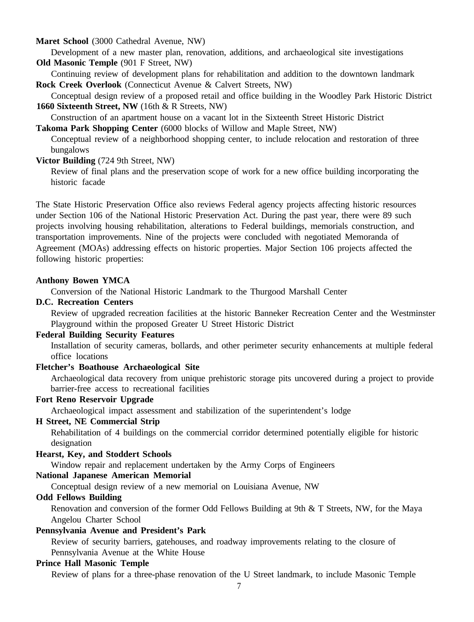**Maret School** (3000 Cathedral Avenue, NW)

Development of a new master plan, renovation, additions, and archaeological site investigations **Old Masonic Temple** (901 F Street, NW)

Continuing review of development plans for rehabilitation and addition to the downtown landmark **Rock Creek Overlook** (Connecticut Avenue & Calvert Streets, NW)

Conceptual design review of a proposed retail and office building in the Woodley Park Historic District **1660 Sixteenth Street, NW** (16th & R Streets, NW)

Construction of an apartment house on a vacant lot in the Sixteenth Street Historic District

**Takoma Park Shopping Center** (6000 blocks of Willow and Maple Street, NW)

Conceptual review of a neighborhood shopping center, to include relocation and restoration of three bungalows

#### **Victor Building** (724 9th Street, NW)

Review of final plans and the preservation scope of work for a new office building incorporating the historic facade

The State Historic Preservation Office also reviews Federal agency projects affecting historic resources under Section 106 of the National Historic Preservation Act. During the past year, there were 89 such projects involving housing rehabilitation, alterations to Federal buildings, memorials construction, and transportation improvements. Nine of the projects were concluded with negotiated Memoranda of Agreement (MOAs) addressing effects on historic properties. Major Section 106 projects affected the following historic properties:

#### **Anthony Bowen YMCA**

Conversion of the National Historic Landmark to the Thurgood Marshall Center

### **D.C. Recreation Centers**

Review of upgraded recreation facilities at the historic Banneker Recreation Center and the Westminster Playground within the proposed Greater U Street Historic District

#### **Federal Building Security Features**

Installation of security cameras, bollards, and other perimeter security enhancements at multiple federal office locations

### **Fletcher's Boathouse Archaeological Site**

Archaeological data recovery from unique prehistoric storage pits uncovered during a project to provide barrier-free access to recreational facilities

### **Fort Reno Reservoir Upgrade**

Archaeological impact assessment and stabilization of the superintendent's lodge

# **H Street, NE Commercial Strip**

Rehabilitation of 4 buildings on the commercial corridor determined potentially eligible for historic designation

#### **Hearst, Key, and Stoddert Schools**

Window repair and replacement undertaken by the Army Corps of Engineers

# **National Japanese American Memorial**

Conceptual design review of a new memorial on Louisiana Avenue, NW

# **Odd Fellows Building**

Renovation and conversion of the former Odd Fellows Building at 9th & T Streets, NW, for the Maya Angelou Charter School

# **Pennsylvania Avenue and President's Park**

Review of security barriers, gatehouses, and roadway improvements relating to the closure of Pennsylvania Avenue at the White House

# **Prince Hall Masonic Temple**

Review of plans for a three-phase renovation of the U Street landmark, to include Masonic Temple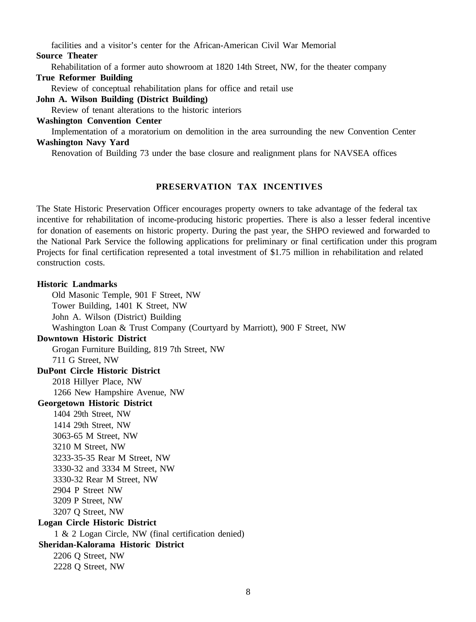facilities and a visitor's center for the African-American Civil War Memorial

#### **Source Theater**

Rehabilitation of a former auto showroom at 1820 14th Street, NW, for the theater company

#### **True Reformer Building**

Review of conceptual rehabilitation plans for office and retail use

### **John A. Wilson Building (District Building)**

Review of tenant alterations to the historic interiors

#### **Washington Convention Center**

Implementation of a moratorium on demolition in the area surrounding the new Convention Center **Washington Navy Yard**

Renovation of Building 73 under the base closure and realignment plans for NAVSEA offices

# **PRESERVATION TAX INCENTIVES**

The State Historic Preservation Officer encourages property owners to take advantage of the federal tax incentive for rehabilitation of income-producing historic properties. There is also a lesser federal incentive for donation of easements on historic property. During the past year, the SHPO reviewed and forwarded to the National Park Service the following applications for preliminary or final certification under this program Projects for final certification represented a total investment of \$1.75 million in rehabilitation and related construction costs.

# **Historic Landmarks** Old Masonic Temple, 901 F Street, NW Tower Building, 1401 K Street, NW John A. Wilson (District) Building Washington Loan & Trust Company (Courtyard by Marriott), 900 F Street, NW **Downtown Historic District** Grogan Furniture Building, 819 7th Street, NW 711 G Street, NW **DuPont Circle Historic District** 2018 Hillyer Place, NW 1266 New Hampshire Avenue, NW **Georgetown Historic District** 1404 29th Street, NW 1414 29th Street, NW 3063-65 M Street, NW 3210 M Street, NW 3233-35-35 Rear M Street, NW 3330-32 and 3334 M Street, NW 3330-32 Rear M Street, NW 2904 P Street NW 3209 P Street, NW 3207 Q Street, NW **Logan Circle Historic District** 1 & 2 Logan Circle, NW (final certification denied) **Sheridan-Kalorama Historic District** 2206 Q Street, NW 2228 Q Street, NW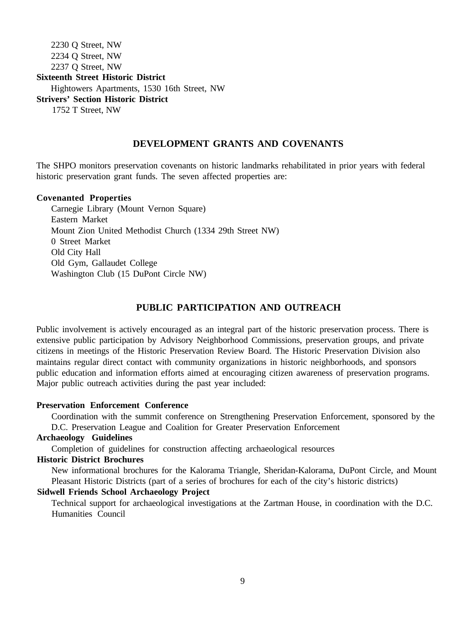2230 Q Street, NW 2234 Q Street, NW 2237 Q Street, NW **Sixteenth Street Historic District** Hightowers Apartments, 1530 16th Street, NW **Strivers' Section Historic District** 1752 T Street, NW

### **DEVELOPMENT GRANTS AND COVENANTS**

The SHPO monitors preservation covenants on historic landmarks rehabilitated in prior years with federal historic preservation grant funds. The seven affected properties are:

#### **Covenanted Properties**

Carnegie Library (Mount Vernon Square) Eastern Market Mount Zion United Methodist Church (1334 29th Street NW) 0 Street Market Old City Hall Old Gym, Gallaudet College Washington Club (15 DuPont Circle NW)

# **PUBLIC PARTICIPATION AND OUTREACH**

Public involvement is actively encouraged as an integral part of the historic preservation process. There is extensive public participation by Advisory Neighborhood Commissions, preservation groups, and private citizens in meetings of the Historic Preservation Review Board. The Historic Preservation Division also maintains regular direct contact with community organizations in historic neighborhoods, and sponsors public education and information efforts aimed at encouraging citizen awareness of preservation programs. Major public outreach activities during the past year included:

### **Preservation Enforcement Conference**

Coordination with the summit conference on Strengthening Preservation Enforcement, sponsored by the D.C. Preservation League and Coalition for Greater Preservation Enforcement

#### **Archaeology Guidelines**

Completion of guidelines for construction affecting archaeological resources

#### **Historic District Brochures**

New informational brochures for the Kalorama Triangle, Sheridan-Kalorama, DuPont Circle, and Mount Pleasant Historic Districts (part of a series of brochures for each of the city's historic districts)

## **Sidwell Friends School Archaeology Project**

Technical support for archaeological investigations at the Zartman House, in coordination with the D.C. Humanities Council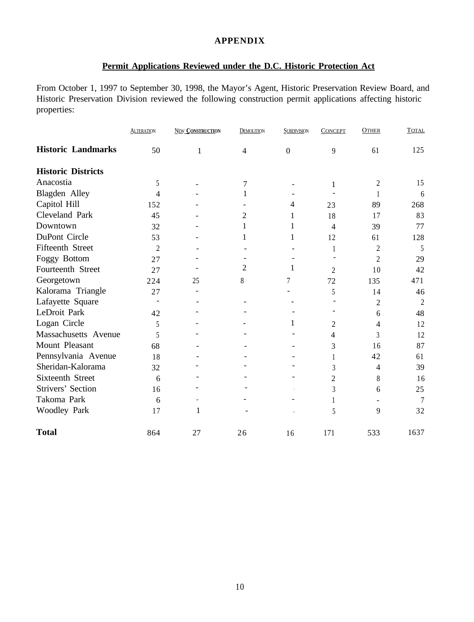## **APPENDIX**

# **Permit Applications Reviewed under the D.C. Historic Protection Act**

From October 1, 1997 to September 30, 1998, the Mayor's Agent, Historic Preservation Review Board, and Historic Preservation Division reviewed the following construction permit applications affecting historic properties:

|                           | <b>ALTERATION</b> | <b>NEW CONSTRUCTION</b> | <b>DEMOLITION</b> | <b>SUBDIVISION</b> | <b>CONCEPT</b> | <b>OTHER</b>   | <b>TOTAL</b>    |
|---------------------------|-------------------|-------------------------|-------------------|--------------------|----------------|----------------|-----------------|
| <b>Historic Landmarks</b> | 50                | $\mathbf{1}$            | $\overline{4}$    | $\boldsymbol{0}$   | 9              | 61             | 125             |
| <b>Historic Districts</b> |                   |                         |                   |                    |                |                |                 |
| Anacostia                 | 5                 |                         | 7                 |                    | 1              | 2              | 15              |
| Blagden Alley             | 4                 |                         | 1                 |                    |                |                | 6               |
| Capitol Hill              | 152               |                         |                   | $\overline{4}$     | 23             | 89             | 268             |
| Cleveland Park            | 45                |                         | 2                 | 1                  | 18             | 17             | 83              |
| Downtown                  | 32                |                         | 1                 | 1                  | 4              | 39             | 77              |
| DuPont Circle             | 53                |                         | 1                 | 1                  | 12             | 61             | 128             |
| <b>Fifteenth Street</b>   | $\overline{c}$    |                         |                   |                    | 1              | 2              | 5               |
| Foggy Bottom              | 27                |                         |                   |                    |                | $\overline{2}$ | 29              |
| Fourteenth Street         | 27                |                         | $\overline{2}$    | 1                  | 2              | 10             | 42              |
| Georgetown                | 224               | 25                      | 8                 | 7                  | 72             | 135            | 471             |
| Kalorama Triangle         | 27                | $\overline{a}$          |                   |                    | 5              | 14             | 46              |
| Lafayette Square          |                   |                         |                   |                    |                | 2              | $\overline{2}$  |
| LeDroit Park              | 42                |                         |                   |                    |                | 6              | 48              |
| Logan Circle              | 5                 |                         |                   | 1                  | 2              | 4              | 12              |
| Massachusetts Avenue      | 5                 |                         |                   |                    | 4              | 3              | 12              |
| Mount Pleasant            | 68                |                         |                   |                    | 3              | 16             | 87              |
| Pennsylvania Avenue       | 18                |                         |                   |                    | 1              | 42             | 61              |
| Sheridan-Kalorama         | 32                |                         |                   |                    | 3              | $\overline{4}$ | 39              |
| Sixteenth Street          | 6                 |                         |                   |                    | 2              | 8              | 16              |
| Strivers' Section         | 16                |                         |                   |                    | 3              | 6              | 25              |
| Takoma Park               | 6                 |                         |                   |                    |                |                | $7\phantom{.0}$ |
| <b>Woodley Park</b>       | 17                | 1                       |                   |                    | 5              | 9              | 32              |
| <b>Total</b>              | 864               | 27                      | 26                | 16                 | 171            | 533            | 1637            |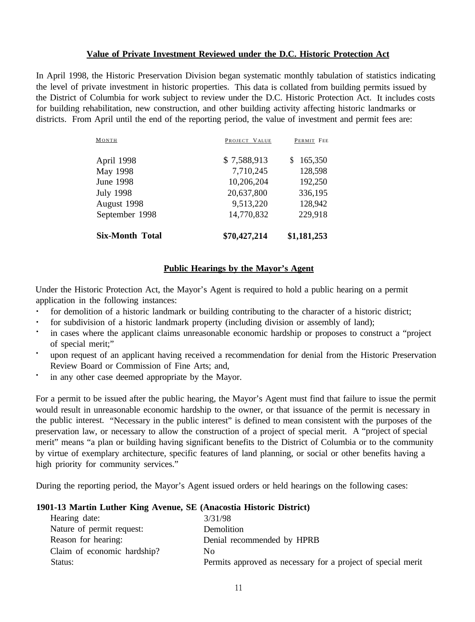## **Value of Private Investment Reviewed under the D.C. Historic Protection Act**

In April 1998, the Historic Preservation Division began systematic monthly tabulation of statistics indicating the level of private investment in historic properties. This data is collated from building permits issued by the District of Columbia for work subject to review under the D.C. Historic Protection Act. It includes costs for building rehabilitation, new construction, and other building activity affecting historic landmarks or districts. From April until the end of the reporting period, the value of investment and permit fees are:

| <b>Six-Month Total</b> | \$70,427,214  | \$1,181,253  |
|------------------------|---------------|--------------|
| September 1998         | 14,770,832    | 229,918      |
| August 1998            | 9,513,220     | 128,942      |
| <b>July 1998</b>       | 20,637,800    | 336,195      |
| <b>June 1998</b>       | 10,206,204    | 192,250      |
| May 1998               | 7,710,245     | 128,598      |
| April 1998             | \$7,588,913   | 165,350<br>S |
| MONTH                  | PROJECT VALUE | PERMIT FEE   |

# **Public Hearings by the Mayor's Agent**

Under the Historic Protection Act, the Mayor's Agent is required to hold a public hearing on a permit application in the following instances:

- **·** for demolition of a historic landmark or building contributing to the character of a historic district;
- **·** for subdivision of a historic landmark property (including division or assembly of land);
- **·** in cases where the applicant claims unreasonable economic hardship or proposes to construct a "project of special merit;"
- **·** upon request of an applicant having received a recommendation for denial from the Historic Preservation Review Board or Commission of Fine Arts; and,
- **·** in any other case deemed appropriate by the Mayor.

For a permit to be issued after the public hearing, the Mayor's Agent must find that failure to issue the permit would result in unreasonable economic hardship to the owner, or that issuance of the permit is necessary in the public interest. "Necessary in the public interest" is defined to mean consistent with the purposes of the preservation law, or necessary to allow the construction of a project of special merit. A "project of special merit" means "a plan or building having significant benefits to the District of Columbia or to the community by virtue of exemplary architecture, specific features of land planning, or social or other benefits having a high priority for community services."

During the reporting period, the Mayor's Agent issued orders or held hearings on the following cases:

#### **1901-13 Martin Luther King Avenue, SE (Anacostia Historic District)**

| Hearing date:               | 3/31/98                                                      |
|-----------------------------|--------------------------------------------------------------|
| Nature of permit request:   | Demolition                                                   |
| Reason for hearing:         | Denial recommended by HPRB                                   |
| Claim of economic hardship? | No                                                           |
| Status:                     | Permits approved as necessary for a project of special merit |